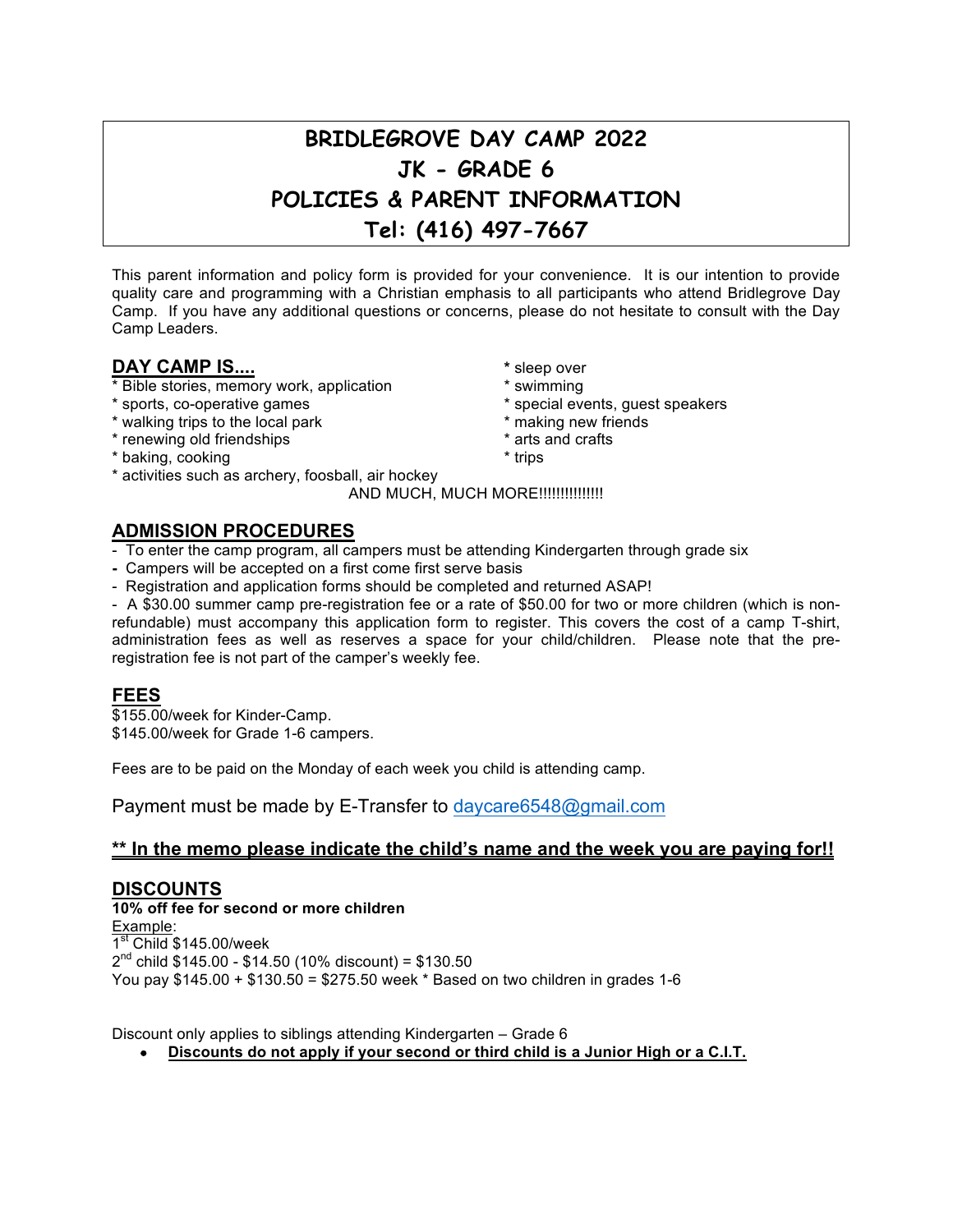# **BRIDLEGROVE DAY CAMP 2022 JK - GRADE 6 POLICIES & PARENT INFORMATION Tel: (416) 497-7667**

This parent information and policy form is provided for your convenience. It is our intention to provide quality care and programming with a Christian emphasis to all participants who attend Bridlegrove Day Camp. If you have any additional questions or concerns, please do not hesitate to consult with the Day Camp Leaders.

## **DAY CAMP IS.... All and Solution EXAMP IS.... \*** sleep over

- \* Bible stories, memory work, application \* swimming
- 
- \* walking trips to the local park
- \* renewing old friendships \* \* arts and crafts
- \* baking, cooking \* trips
- \* activities such as archery, foosball, air hockey

AND MUCH, MUCH MORE!!!!!!!!!!!!!!!!

# **ADMISSION PROCEDURES**

- To enter the camp program, all campers must be attending Kindergarten through grade six
- **-** Campers will be accepted on a first come first serve basis
- Registration and application forms should be completed and returned ASAP!

- A \$30.00 summer camp pre-registration fee or a rate of \$50.00 for two or more children (which is nonrefundable) must accompany this application form to register. This covers the cost of a camp T-shirt, administration fees as well as reserves a space for your child/children. Please note that the preregistration fee is not part of the camper's weekly fee.

# **FEES**

\$155.00/week for Kinder-Camp. \$145.00/week for Grade 1-6 campers.

Fees are to be paid on the Monday of each week you child is attending camp.

Payment must be made by E-Transfer to daycare6548@gmail.com

## **\*\* In the memo please indicate the child's name and the week you are paying for!!**

## **DISCOUNTS**

**10% off fee for second or more children** Example:  $1<sup>st</sup>$  Child \$145.00/week  $2^{nd}$  child \$145.00 - \$14.50 (10% discount) = \$130.50 You pay \$145.00 + \$130.50 = \$275.50 week \* Based on two children in grades 1-6

Discount only applies to siblings attending Kindergarten – Grade 6

• **Discounts do not apply if your second or third child is a Junior High or a C.I.T.**

- 
- 
- \* sports, co-operative games \* \* special events, guest speakers<br>\* walking trips to the local park \* \* \* \* \* \* \* \* \* making new friends
	-
	-
	-